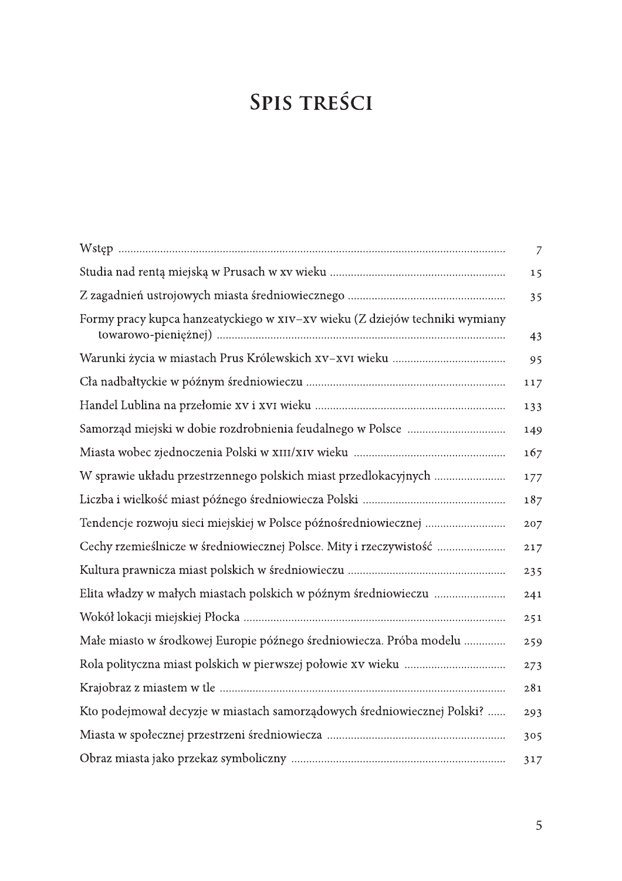## SPIS TREŚCI

|                                                                             | 7   |
|-----------------------------------------------------------------------------|-----|
|                                                                             | 15  |
|                                                                             | 35  |
| Formy pracy kupca hanzeatyckiego w xIV-xV wieku (Z dziejów techniki wymiany | 43  |
|                                                                             | 95  |
|                                                                             | 117 |
|                                                                             | 133 |
|                                                                             | 149 |
|                                                                             | 167 |
| W sprawie układu przestrzennego polskich miast przedlokacyjnych             | 177 |
|                                                                             | 187 |
| Tendencje rozwoju sieci miejskiej w Polsce późnośredniowiecznej             | 207 |
| Cechy rzemieślnicze w średniowiecznej Polsce. Mity i rzeczywistość          | 217 |
|                                                                             | 235 |
| Elita władzy w małych miastach polskich w późnym średniowieczu              | 241 |
|                                                                             | 251 |
| Małe miasto w środkowej Europie późnego średniowiecza. Próba modelu         | 259 |
|                                                                             | 273 |
|                                                                             | 281 |
| Kto podejmował decyzje w miastach samorządowych średniowiecznej Polski?     | 293 |
|                                                                             | 305 |
|                                                                             | 317 |